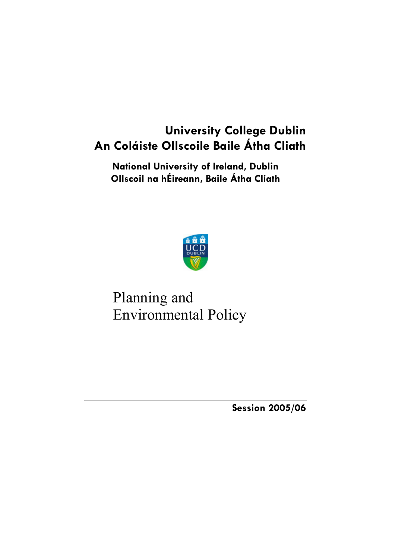# **University College Dublin An Coláiste Ollscoile Baile Átha Cliath**

**National University of Ireland, Dublin Ollscoil na hÉireann, Baile Átha Cliath** 



# Planning and Environmental Policy

**Session 2005/06**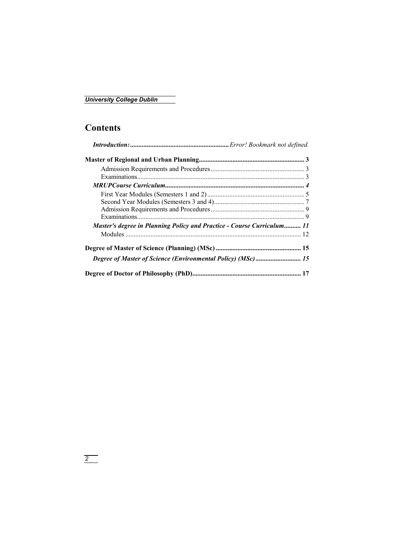## **Contents**

| <b>Master's degree in Planning Policy and Practice - Course Curriculum 11</b> |  |
|-------------------------------------------------------------------------------|--|
|                                                                               |  |
|                                                                               |  |
| Degree of Master of Science (Environmental Policy) (MSc)  15                  |  |
|                                                                               |  |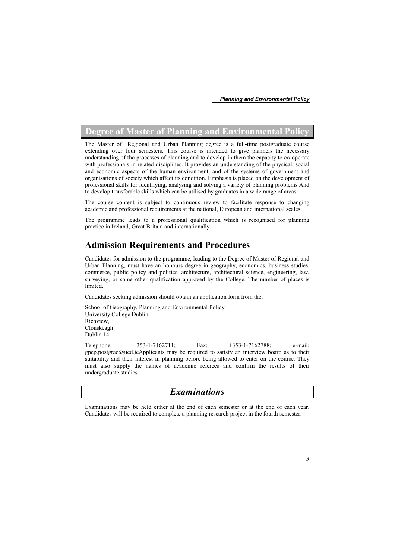## **Degree of Master of Planning and Environmental Policy**

The Master of Regional and Urban Planning degree is a full-time postgraduate course extending over four semesters. This course is intended to give planners the necessary understanding of the processes of planning and to develop in them the capacity to co-operate with professionals in related disciplines. It provides an understanding of the physical, social and economic aspects of the human environment, and of the systems of government and organisations of society which affect its condition. Emphasis is placed on the development of professional skills for identifying, analysing and solving a variety of planning problems And to develop transferable skills which can be utilised by graduates in a wide range of areas.

The course content is subject to continuous review to facilitate response to changing academic and professional requirements at the national, European and international scales.

The programme leads to a professional qualification which is recognised for planning practice in Ireland, Great Britain and internationally.

## **Admission Requirements and Procedures**

Candidates for admission to the programme, leading to the Degree of Master of Regional and Urban Planning, must have an honours degree in geography, economics, business studies, commerce, public policy and politics, architecture, architectural science, engineering, law, surveying, or some other qualification approved by the College. The number of places is limited.

Candidates seeking admission should obtain an application form from the:

School of Geography, Planning and Environmental Policy University College Dublin Richview, Clonskeagh Dublin 14

Telephone: +353-1-7162711; Fax: +353-1-7162788; e-mail: gpep.postgrad@ucd.ieApplicants may be required to satisfy an interview board as to their suitability and their interest in planning before being allowed to enter on the course. They must also supply the names of academic referees and confirm the results of their undergraduate studies.

## *Examinations*

Examinations may be held either at the end of each semester or at the end of each year. Candidates will be required to complete a planning research project in the fourth semester.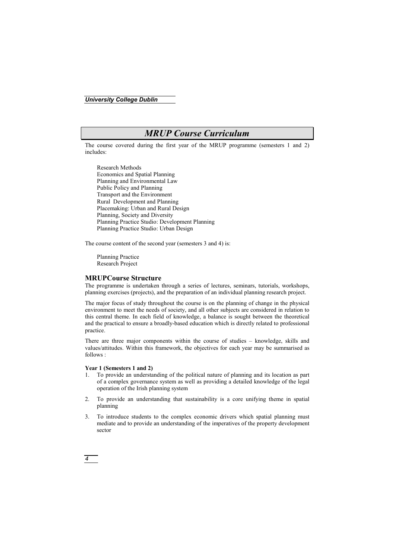## *MRUP Course Curriculum*

The course covered during the first year of the MRUP programme (semesters 1 and 2) includes:

Research Methods Economics and Spatial Planning Planning and Environmental Law Public Policy and Planning Transport and the Environment Rural Development and Planning Placemaking: Urban and Rural Design Planning, Society and Diversity Planning Practice Studio: Development Planning Planning Practice Studio: Urban Design

The course content of the second year (semesters 3 and 4) is:

Planning Practice Research Project

#### **MRUPCourse Structure**

The programme is undertaken through a series of lectures, seminars, tutorials, workshops, planning exercises (projects), and the preparation of an individual planning research project.

The major focus of study throughout the course is on the planning of change in the physical environment to meet the needs of society, and all other subjects are considered in relation to this central theme. In each field of knowledge, a balance is sought between the theoretical and the practical to ensure a broadly-based education which is directly related to professional practice.

There are three major components within the course of studies – knowledge, skills and values/attitudes. Within this framework, the objectives for each year may be summarised as follows :

### **Year 1 (Semesters 1 and 2)**

- 1. To provide an understanding of the political nature of planning and its location as part of a complex governance system as well as providing a detailed knowledge of the legal operation of the Irish planning system
- 2. To provide an understanding that sustainability is a core unifying theme in spatial planning
- 3. To introduce students to the complex economic drivers which spatial planning must mediate and to provide an understanding of the imperatives of the property development sector

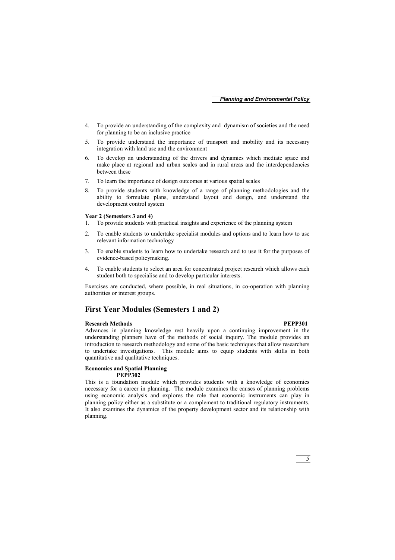- 4. To provide an understanding of the complexity and dynamism of societies and the need for planning to be an inclusive practice
- 5. To provide understand the importance of transport and mobility and its necessary integration with land use and the environment
- 6. To develop an understanding of the drivers and dynamics which mediate space and make place at regional and urban scales and in rural areas and the interdependencies between these
- 7. To learn the importance of design outcomes at various spatial scales
- 8. To provide students with knowledge of a range of planning methodologies and the ability to formulate plans, understand layout and design, and understand the development control system

#### **Year 2 (Semesters 3 and 4)**

- 1. To provide students with practical insights and experience of the planning system
- 2. To enable students to undertake specialist modules and options and to learn how to use relevant information technology
- 3. To enable students to learn how to undertake research and to use it for the purposes of evidence-based policymaking.
- 4. To enable students to select an area for concentrated project research which allows each student both to specialise and to develop particular interests.

Exercises are conducted, where possible, in real situations, in co-operation with planning authorities or interest groups.

### **First Year Modules (Semesters 1 and 2)**

#### **Research Methods PEPP301**

Advances in planning knowledge rest heavily upon a continuing improvement in the understanding planners have of the methods of social inquiry. The module provides an introduction to research methodology and some of the basic techniques that allow researchers to undertake investigations. This module aims to equip students with skills in both quantitative and qualitative techniques.

### **Economics and Spatial Planning**

#### **PEPP302**

This is a foundation module which provides students with a knowledge of economics necessary for a career in planning. The module examines the causes of planning problems using economic analysis and explores the role that economic instruments can play in planning policy either as a substitute or a complement to traditional regulatory instruments. It also examines the dynamics of the property development sector and its relationship with planning.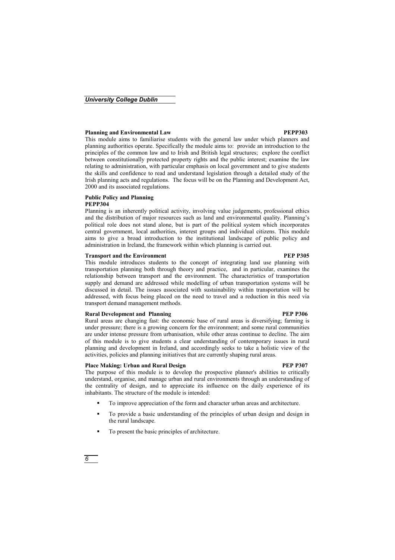#### **Planning and Environmental Law PEPP303**

This module aims to familiarise students with the general law under which planners and planning authorities operate. Specifically the module aims to: provide an introduction to the principles of the common law and to Irish and British legal structures; explore the conflict between constitutionally protected property rights and the public interest; examine the law relating to administration, with particular emphasis on local government and to give students the skills and confidence to read and understand legislation through a detailed study of the Irish planning acts and regulations. The focus will be on the Planning and Development Act, 2000 and its associated regulations.

#### **Public Policy and Planning PEPP304**

Planning is an inherently political activity, involving value judgements, professional ethics and the distribution of major resources such as land and environmental quality. Planning's political role does not stand alone, but is part of the political system which incorporates central government, local authorities, interest groups and individual citizens. This module aims to give a broad introduction to the institutional landscape of public policy and administration in Ireland, the framework within which planning is carried out.

#### **Transport and the Environment PEP P305**

This module introduces students to the concept of integrating land use planning with transportation planning both through theory and practice, and in particular, examines the relationship between transport and the environment. The characteristics of transportation supply and demand are addressed while modelling of urban transportation systems will be discussed in detail. The issues associated with sustainability within transportation will be addressed, with focus being placed on the need to travel and a reduction in this need via transport demand management methods.

#### **Rural Development and Planning PEP P306 PEP P306**

Rural areas are changing fast: the economic base of rural areas is diversifying; farming is under pressure; there is a growing concern for the environment; and some rural communities are under intense pressure from urbanisation, while other areas continue to decline. The aim of this module is to give students a clear understanding of contemporary issues in rural planning and development in Ireland, and accordingly seeks to take a holistic view of the activities, policies and planning initiatives that are currently shaping rural areas.

#### Place Making: Urban and Rural Design **PEP 1907 PEP P307**

The purpose of this module is to develop the prospective planner's abilities to critically understand, organise, and manage urban and rural environments through an understanding of the centrality of design, and to appreciate its influence on the daily experience of its inhabitants. The structure of the module is intended:

- To improve appreciation of the form and character urban areas and architecture.
- To provide a basic understanding of the principles of urban design and design in the rural landscape.
- To present the basic principles of architecture.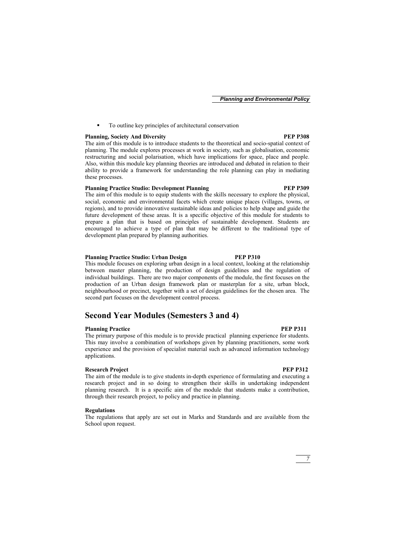To outline key principles of architectural conservation

### **Planning, Society And Diversity PEP P308 PEP P308**

The aim of this module is to introduce students to the theoretical and socio-spatial context of planning. The module explores processes at work in society, such as globalisation, economic restructuring and social polarisation, which have implications for space, place and people. Also, within this module key planning theories are introduced and debated in relation to their ability to provide a framework for understanding the role planning can play in mediating these processes.

### **Planning Practice Studio: Development Planning PEP P309**

The aim of this module is to equip students with the skills necessary to explore the physical, social, economic and environmental facets which create unique places (villages, towns, or regions), and to provide innovative sustainable ideas and policies to help shape and guide the future development of these areas. It is a specific objective of this module for students to prepare a plan that is based on principles of sustainable development. Students are encouraged to achieve a type of plan that may be different to the traditional type of development plan prepared by planning authorities.

#### **Planning Practice Studio: Urban Design PEP P310**

This module focuses on exploring urban design in a local context, looking at the relationship between master planning, the production of design guidelines and the regulation of individual buildings. There are two major components of the module, the first focuses on the production of an Urban design framework plan or masterplan for a site, urban block, neighbourhood or precinct, together with a set of design guidelines for the chosen area. The second part focuses on the development control process.

### **Second Year Modules (Semesters 3 and 4)**

#### **Planning Practice PEP P311**

The primary purpose of this module is to provide practical planning experience for students. This may involve a combination of workshops given by planning practitioners, some work experience and the provision of specialist material such as advanced information technology applications.

#### **Research Project PEP P312**

The aim of the module is to give students in-depth experience of formulating and executing a research project and in so doing to strengthen their skills in undertaking independent planning research. It is a specific aim of the module that students make a contribution, through their research project, to policy and practice in planning.

#### **Regulations**

The regulations that apply are set out in Marks and Standards and are available from the School upon request.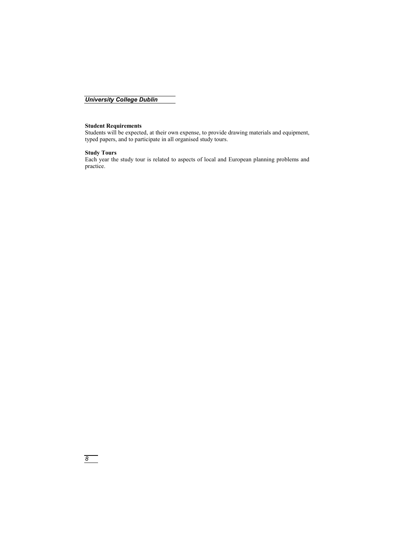### **Student Requirements**

Students will be expected, at their own expense, to provide drawing materials and equipment, typed papers, and to participate in all organised study tours.

### **Study Tours**

Each year the study tour is related to aspects of local and European planning problems and practice.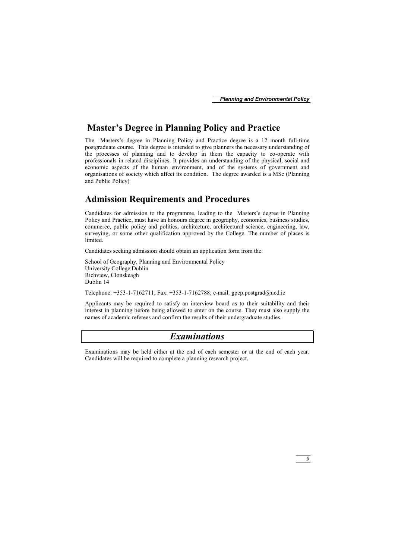## **Master's Degree in Planning Policy and Practice**

The Masters's degree in Planning Policy and Practice degree is a 12 month full-time postgraduate course. This degree is intended to give planners the necessary understanding of the processes of planning and to develop in them the capacity to co-operate with professionals in related disciplines. It provides an understanding of the physical, social and economic aspects of the human environment, and of the systems of government and organisations of society which affect its condition. The degree awarded is a MSc (Planning and Public Policy)

## **Admission Requirements and Procedures**

Candidates for admission to the programme, leading to the Masters's degree in Planning Policy and Practice, must have an honours degree in geography, economics, business studies, commerce, public policy and politics, architecture, architectural science, engineering, law, surveying, or some other qualification approved by the College. The number of places is limited.

Candidates seeking admission should obtain an application form from the:

School of Geography, Planning and Environmental Policy University College Dublin Richview, Clonskeagh Dublin 14

Telephone: +353-1-7162711; Fax: +353-1-7162788; e-mail: gpep.postgrad@ucd.ie

Applicants may be required to satisfy an interview board as to their suitability and their interest in planning before being allowed to enter on the course. They must also supply the names of academic referees and confirm the results of their undergraduate studies.

## *Examinations*

Examinations may be held either at the end of each semester or at the end of each year. Candidates will be required to complete a planning research project.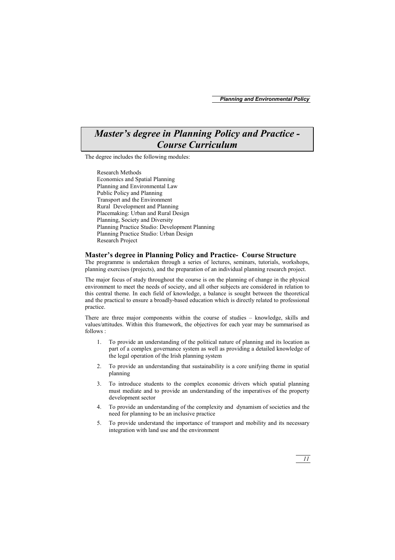## *Master's degree in Planning Policy and Practice - Course Curriculum*

The degree includes the following modules:

Research Methods Economics and Spatial Planning Planning and Environmental Law Public Policy and Planning Transport and the Environment Rural Development and Planning Placemaking: Urban and Rural Design Planning, Society and Diversity Planning Practice Studio: Development Planning Planning Practice Studio: Urban Design Research Project

#### **Master's degree in Planning Policy and Practice- Course Structure**

The programme is undertaken through a series of lectures, seminars, tutorials, workshops, planning exercises (projects), and the preparation of an individual planning research project.

The major focus of study throughout the course is on the planning of change in the physical environment to meet the needs of society, and all other subjects are considered in relation to this central theme. In each field of knowledge, a balance is sought between the theoretical and the practical to ensure a broadly-based education which is directly related to professional practice.

There are three major components within the course of studies – knowledge, skills and values/attitudes. Within this framework, the objectives for each year may be summarised as follows :

- 1. To provide an understanding of the political nature of planning and its location as part of a complex governance system as well as providing a detailed knowledge of the legal operation of the Irish planning system
- 2. To provide an understanding that sustainability is a core unifying theme in spatial planning
- 3. To introduce students to the complex economic drivers which spatial planning must mediate and to provide an understanding of the imperatives of the property development sector
- 4. To provide an understanding of the complexity and dynamism of societies and the need for planning to be an inclusive practice
- 5. To provide understand the importance of transport and mobility and its necessary integration with land use and the environment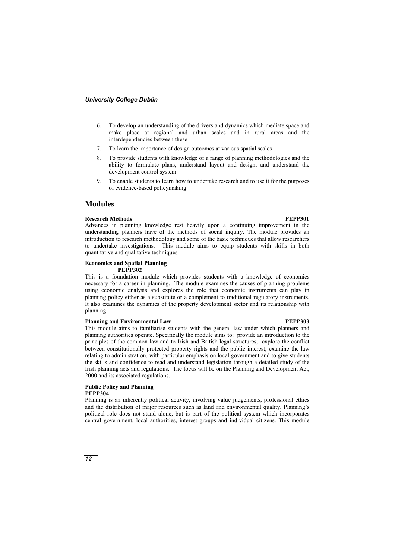- 6. To develop an understanding of the drivers and dynamics which mediate space and make place at regional and urban scales and in rural areas and the interdependencies between these
- 7. To learn the importance of design outcomes at various spatial scales
- 8. To provide students with knowledge of a range of planning methodologies and the ability to formulate plans, understand layout and design, and understand the development control system
- 9. To enable students to learn how to undertake research and to use it for the purposes of evidence-based policymaking.

### **Modules**

#### **Research Methods** PEPP301

Advances in planning knowledge rest heavily upon a continuing improvement in the understanding planners have of the methods of social inquiry. The module provides an introduction to research methodology and some of the basic techniques that allow researchers to undertake investigations. This module aims to equip students with skills in both quantitative and qualitative techniques.

#### **Economics and Spatial Planning PEPP302**

This is a foundation module which provides students with a knowledge of economics necessary for a career in planning. The module examines the causes of planning problems using economic analysis and explores the role that economic instruments can play in planning policy either as a substitute or a complement to traditional regulatory instruments. It also examines the dynamics of the property development sector and its relationship with planning.

#### **Planning and Environmental Law PEPP303**

This module aims to familiarise students with the general law under which planners and planning authorities operate. Specifically the module aims to: provide an introduction to the principles of the common law and to Irish and British legal structures; explore the conflict between constitutionally protected property rights and the public interest; examine the law relating to administration, with particular emphasis on local government and to give students the skills and confidence to read and understand legislation through a detailed study of the Irish planning acts and regulations. The focus will be on the Planning and Development Act, 2000 and its associated regulations.

## **Public Policy and Planning**

### **PEPP304**

Planning is an inherently political activity, involving value judgements, professional ethics and the distribution of major resources such as land and environmental quality. Planning's political role does not stand alone, but is part of the political system which incorporates central government, local authorities, interest groups and individual citizens. This module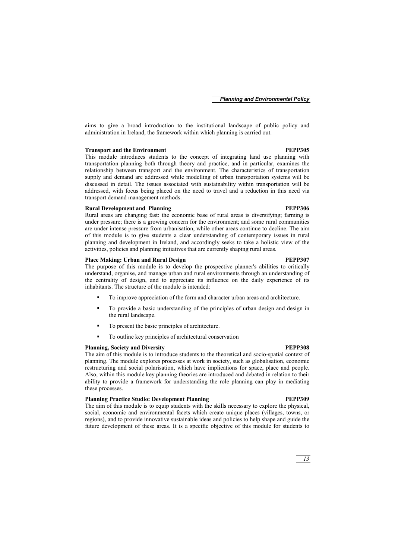aims to give a broad introduction to the institutional landscape of public policy and administration in Ireland, the framework within which planning is carried out.

#### **Transport and the Environment PEPP305**

This module introduces students to the concept of integrating land use planning with transportation planning both through theory and practice, and in particular, examines the relationship between transport and the environment. The characteristics of transportation supply and demand are addressed while modelling of urban transportation systems will be discussed in detail. The issues associated with sustainability within transportation will be addressed, with focus being placed on the need to travel and a reduction in this need via transport demand management methods.

#### **Rural Development and Planning PEPP306 PEPP306**

Rural areas are changing fast: the economic base of rural areas is diversifying; farming is under pressure; there is a growing concern for the environment; and some rural communities are under intense pressure from urbanisation, while other areas continue to decline. The aim of this module is to give students a clear understanding of contemporary issues in rural planning and development in Ireland, and accordingly seeks to take a holistic view of the activities, policies and planning initiatives that are currently shaping rural areas.

#### Place Making: Urban and Rural Design **PEPP307 PEPP307**

The purpose of this module is to develop the prospective planner's abilities to critically understand, organise, and manage urban and rural environments through an understanding of the centrality of design, and to appreciate its influence on the daily experience of its inhabitants. The structure of the module is intended:

- To improve appreciation of the form and character urban areas and architecture.
- To provide a basic understanding of the principles of urban design and design in the rural landscape.
- To present the basic principles of architecture.
- To outline key principles of architectural conservation

#### **Planning, Society and Diversity PEPP308**

The aim of this module is to introduce students to the theoretical and socio-spatial context of planning. The module explores processes at work in society, such as globalisation, economic restructuring and social polarisation, which have implications for space, place and people. Also, within this module key planning theories are introduced and debated in relation to their ability to provide a framework for understanding the role planning can play in mediating these processes.

#### **Planning Practice Studio: Development Planning PEPP309**

The aim of this module is to equip students with the skills necessary to explore the physical, social, economic and environmental facets which create unique places (villages, towns, or regions), and to provide innovative sustainable ideas and policies to help shape and guide the future development of these areas. It is a specific objective of this module for students to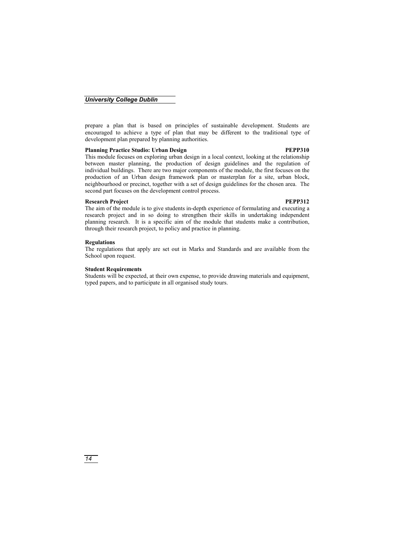prepare a plan that is based on principles of sustainable development. Students are encouraged to achieve a type of plan that may be different to the traditional type of development plan prepared by planning authorities.

### **Planning Practice Studio: Urban Design PEPP310 PEPP310**

#### This module focuses on exploring urban design in a local context, looking at the relationship between master planning, the production of design guidelines and the regulation of individual buildings. There are two major components of the module, the first focuses on the production of an Urban design framework plan or masterplan for a site, urban block, neighbourhood or precinct, together with a set of design guidelines for the chosen area. The second part focuses on the development control process.

#### **Research Project PEPP312**

The aim of the module is to give students in-depth experience of formulating and executing a research project and in so doing to strengthen their skills in undertaking independent planning research. It is a specific aim of the module that students make a contribution, through their research project, to policy and practice in planning.

#### **Regulations**

The regulations that apply are set out in Marks and Standards and are available from the School upon request.

#### **Student Requirements**

Students will be expected, at their own expense, to provide drawing materials and equipment, typed papers, and to participate in all organised study tours.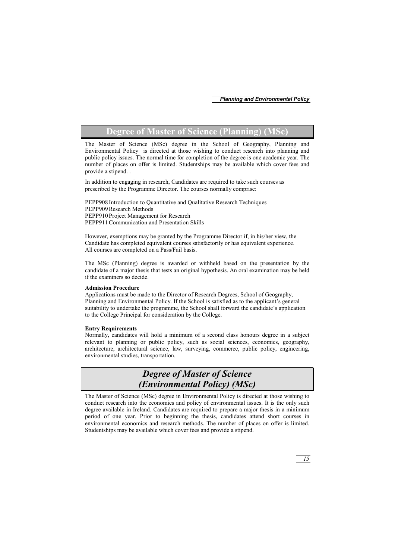## **Degree of Master of Science (Planning) (MSc)**

The Master of Science (MSc) degree in the School of Geography, Planning and Environmental Policy is directed at those wishing to conduct research into planning and public policy issues. The normal time for completion of the degree is one academic year. The number of places on offer is limited. Studentships may be available which cover fees and provide a stipend. .

In addition to engaging in research, Candidates are required to take such courses as prescribed by the Programme Director. The courses normally comprise:

PEPP908 Introduction to Quantitative and Qualitative Research Techniques PEPP909 Research Methods PEPP910 Project Management for Research PEPP911 Communication and Presentation Skills

However, exemptions may be granted by the Programme Director if, in his/her view, the Candidate has completed equivalent courses satisfactorily or has equivalent experience. All courses are completed on a Pass/Fail basis.

The MSc (Planning) degree is awarded or withheld based on the presentation by the candidate of a major thesis that tests an original hypothesis. An oral examination may be held if the examiners so decide.

#### **Admission Procedure**

Applications must be made to the Director of Research Degrees, School of Geography, Planning and Environmental Policy. If the School is satisfied as to the applicant's general suitability to undertake the programme, the School shall forward the candidate's application to the College Principal for consideration by the College.

#### **Entry Requirements**

Normally, candidates will hold a minimum of a second class honours degree in a subject relevant to planning or public policy, such as social sciences, economics, geography, architecture, architectural science, law, surveying, commerce, public policy, engineering, environmental studies, transportation.

## *Degree of Master of Science (Environmental Policy) (MSc)*

The Master of Science (MSc) degree in Environmental Policy is directed at those wishing to conduct research into the economics and policy of environmental issues. It is the only such degree available in Ireland. Candidates are required to prepare a major thesis in a minimum period of one year. Prior to beginning the thesis, candidates attend short courses in environmental economics and research methods. The number of places on offer is limited. Studentships may be available which cover fees and provide a stipend.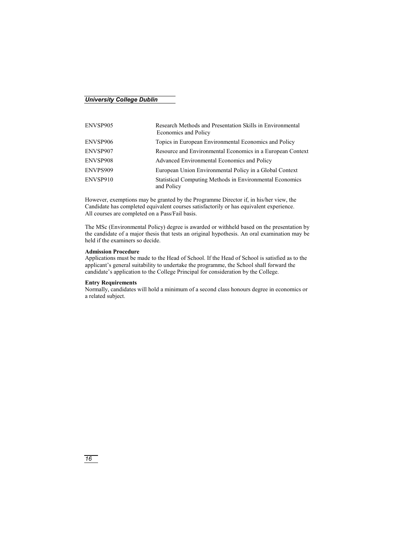| ENVSP905 | Research Methods and Presentation Skills in Environmental<br>Economics and Policy |
|----------|-----------------------------------------------------------------------------------|
| ENVSP906 | Topics in European Environmental Economics and Policy                             |
| ENVSP907 | Resource and Environmental Economics in a European Context                        |
| ENVSP908 | Advanced Environmental Economics and Policy                                       |
| ENVPS909 | European Union Environmental Policy in a Global Context                           |
| ENVSP910 | <b>Statistical Computing Methods in Environmental Economics</b><br>and Policy     |

However, exemptions may be granted by the Programme Director if, in his/her view, the Candidate has completed equivalent courses satisfactorily or has equivalent experience. All courses are completed on a Pass/Fail basis.

The MSc (Environmental Policy) degree is awarded or withheld based on the presentation by the candidate of a major thesis that tests an original hypothesis. An oral examination may be held if the examiners so decide.

#### **Admission Procedure**

Applications must be made to the Head of School. If the Head of School is satisfied as to the applicant's general suitability to undertake the programme, the School shall forward the candidate's application to the College Principal for consideration by the College.

#### **Entry Requirements**

Normally, candidates will hold a minimum of a second class honours degree in economics or a related subject.